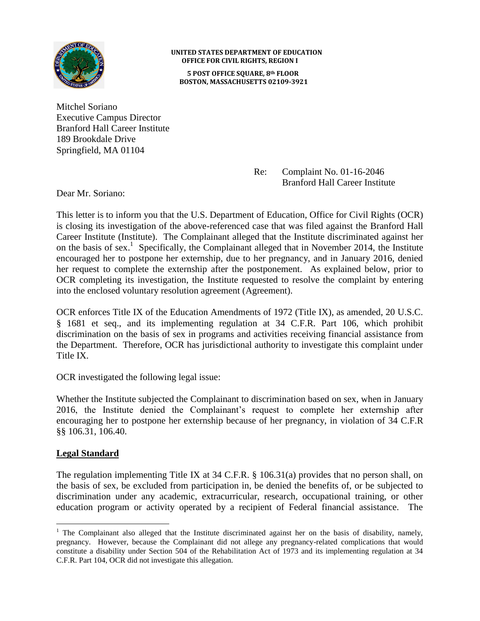

#### **UNITED STATES DEPARTMENT OF EDUCATION OFFICE FOR CIVIL RIGHTS, REGION I**

 **5 POST OFFICE SQUARE, 8th FLOOR BOSTON, MASSACHUSETTS 02109-3921** 

Mitchel Soriano Executive Campus Director Branford Hall Career Institute 189 Brookdale Drive Springfield, MA 01104

# Re: Complaint No. 01-16-2046 Branford Hall Career Institute

Dear Mr. Soriano:

This letter is to inform you that the U.S. Department of Education, Office for Civil Rights (OCR) is closing its investigation of the above-referenced case that was filed against the Branford Hall Career Institute (Institute). The Complainant alleged that the Institute discriminated against her on the basis of sex.<sup>1</sup> Specifically, the Complainant alleged that in November 2014, the Institute encouraged her to postpone her externship, due to her pregnancy, and in January 2016, denied her request to complete the externship after the postponement. As explained below, prior to OCR completing its investigation, the Institute requested to resolve the complaint by entering into the enclosed voluntary resolution agreement (Agreement).

OCR enforces Title IX of the Education Amendments of 1972 (Title IX), as amended, 20 U.S.C. § 1681 et seq., and its implementing regulation at 34 C.F.R. Part 106, which prohibit discrimination on the basis of sex in programs and activities receiving financial assistance from the Department. Therefore, OCR has jurisdictional authority to investigate this complaint under Title IX.

OCR investigated the following legal issue:

Whether the Institute subjected the Complainant to discrimination based on sex, when in January 2016, the Institute denied the Complainant's request to complete her externship after encouraging her to postpone her externship because of her pregnancy, in violation of 34 C.F.R §§ 106.31, 106.40.

#### **Legal Standard**

 $\overline{a}$ 

The regulation implementing Title IX at 34 C.F.R. § 106.31(a) provides that no person shall, on the basis of sex, be excluded from participation in, be denied the benefits of, or be subjected to discrimination under any academic, extracurricular, research, occupational training, or other education program or activity operated by a recipient of Federal financial assistance. The

<sup>&</sup>lt;sup>1</sup> The Complainant also alleged that the Institute discriminated against her on the basis of disability, namely, pregnancy. However, because the Complainant did not allege any pregnancy-related complications that would constitute a disability under Section 504 of the Rehabilitation Act of 1973 and its implementing regulation at 34 C.F.R. Part 104, OCR did not investigate this allegation.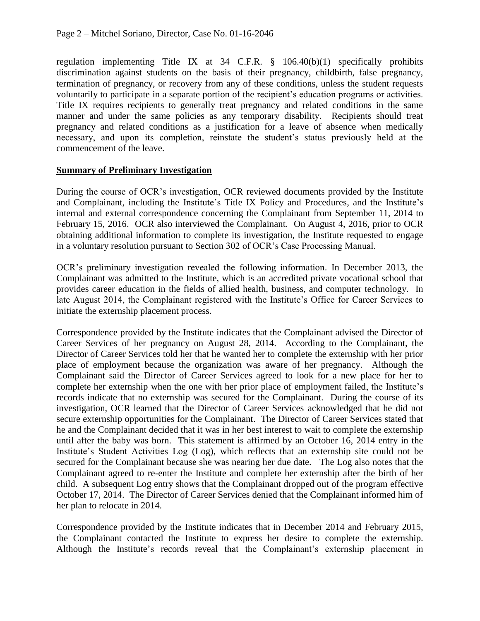regulation implementing Title IX at 34 C.F.R. § 106.40(b)(1) specifically prohibits discrimination against students on the basis of their pregnancy, childbirth, false pregnancy, termination of pregnancy, or recovery from any of these conditions, unless the student requests voluntarily to participate in a separate portion of the recipient's education programs or activities. Title IX requires recipients to generally treat pregnancy and related conditions in the same manner and under the same policies as any temporary disability. Recipients should treat pregnancy and related conditions as a justification for a leave of absence when medically necessary, and upon its completion, reinstate the student's status previously held at the commencement of the leave.

## **Summary of Preliminary Investigation**

During the course of OCR's investigation, OCR reviewed documents provided by the Institute and Complainant, including the Institute's Title IX Policy and Procedures, and the Institute's internal and external correspondence concerning the Complainant from September 11, 2014 to February 15, 2016. OCR also interviewed the Complainant. On August 4, 2016, prior to OCR obtaining additional information to complete its investigation, the Institute requested to engage in a voluntary resolution pursuant to Section 302 of OCR's Case Processing Manual.

OCR's preliminary investigation revealed the following information. In December 2013, the Complainant was admitted to the Institute, which is an accredited private vocational school that provides career education in the fields of allied health, business, and computer technology. In late August 2014, the Complainant registered with the Institute's Office for Career Services to initiate the externship placement process.

Correspondence provided by the Institute indicates that the Complainant advised the Director of Career Services of her pregnancy on August 28, 2014. According to the Complainant, the Director of Career Services told her that he wanted her to complete the externship with her prior place of employment because the organization was aware of her pregnancy. Although the Complainant said the Director of Career Services agreed to look for a new place for her to complete her externship when the one with her prior place of employment failed, the Institute's records indicate that no externship was secured for the Complainant. During the course of its investigation, OCR learned that the Director of Career Services acknowledged that he did not secure externship opportunities for the Complainant. The Director of Career Services stated that he and the Complainant decided that it was in her best interest to wait to complete the externship until after the baby was born. This statement is affirmed by an October 16, 2014 entry in the Institute's Student Activities Log (Log), which reflects that an externship site could not be secured for the Complainant because she was nearing her due date. The Log also notes that the Complainant agreed to re-enter the Institute and complete her externship after the birth of her child. A subsequent Log entry shows that the Complainant dropped out of the program effective October 17, 2014. The Director of Career Services denied that the Complainant informed him of her plan to relocate in 2014.

Correspondence provided by the Institute indicates that in December 2014 and February 2015, the Complainant contacted the Institute to express her desire to complete the externship. Although the Institute's records reveal that the Complainant's externship placement in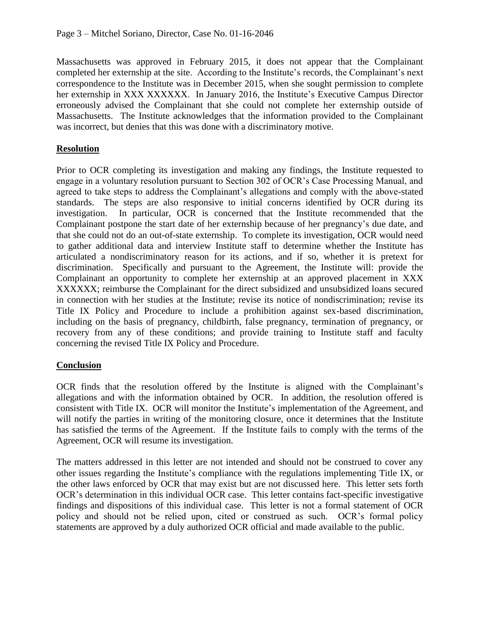Massachusetts was approved in February 2015, it does not appear that the Complainant completed her externship at the site. According to the Institute's records, the Complainant's next correspondence to the Institute was in December 2015, when she sought permission to complete her externship in XXX XXXXXX. In January 2016, the Institute's Executive Campus Director erroneously advised the Complainant that she could not complete her externship outside of Massachusetts. The Institute acknowledges that the information provided to the Complainant was incorrect, but denies that this was done with a discriminatory motive.

## **Resolution**

Prior to OCR completing its investigation and making any findings, the Institute requested to engage in a voluntary resolution pursuant to Section 302 of OCR's Case Processing Manual, and agreed to take steps to address the Complainant's allegations and comply with the above-stated standards. The steps are also responsive to initial concerns identified by OCR during its investigation. In particular, OCR is concerned that the Institute recommended that the Complainant postpone the start date of her externship because of her pregnancy's due date, and that she could not do an out-of-state externship. To complete its investigation, OCR would need to gather additional data and interview Institute staff to determine whether the Institute has articulated a nondiscriminatory reason for its actions, and if so, whether it is pretext for discrimination. Specifically and pursuant to the Agreement, the Institute will: provide the Complainant an opportunity to complete her externship at an approved placement in XXX XXXXXX; reimburse the Complainant for the direct subsidized and unsubsidized loans secured in connection with her studies at the Institute; revise its notice of nondiscrimination; revise its Title IX Policy and Procedure to include a prohibition against sex-based discrimination, including on the basis of pregnancy, childbirth, false pregnancy, termination of pregnancy, or recovery from any of these conditions; and provide training to Institute staff and faculty concerning the revised Title IX Policy and Procedure.

## **Conclusion**

OCR finds that the resolution offered by the Institute is aligned with the Complainant's allegations and with the information obtained by OCR. In addition, the resolution offered is consistent with Title IX. OCR will monitor the Institute's implementation of the Agreement, and will notify the parties in writing of the monitoring closure, once it determines that the Institute has satisfied the terms of the Agreement. If the Institute fails to comply with the terms of the Agreement, OCR will resume its investigation.

The matters addressed in this letter are not intended and should not be construed to cover any other issues regarding the Institute's compliance with the regulations implementing Title IX, or the other laws enforced by OCR that may exist but are not discussed here. This letter sets forth OCR's determination in this individual OCR case. This letter contains fact-specific investigative findings and dispositions of this individual case. This letter is not a formal statement of OCR policy and should not be relied upon, cited or construed as such. OCR's formal policy statements are approved by a duly authorized OCR official and made available to the public.